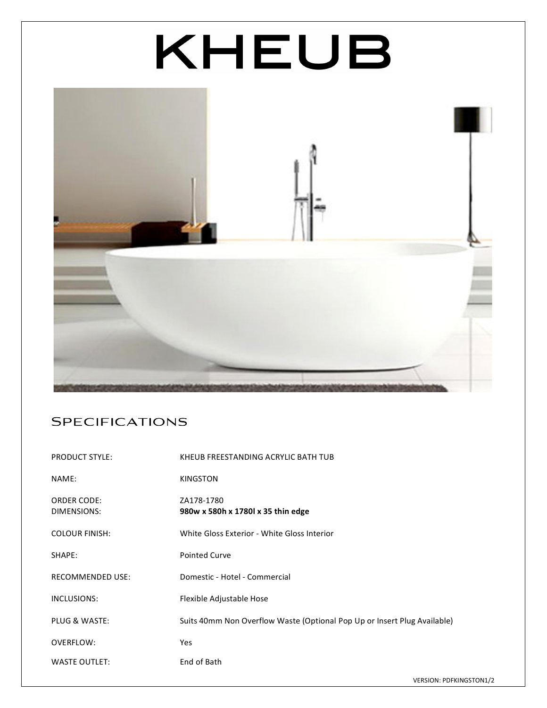## KHEUB



## **SPECIFICATIONS**

| <b>PRODUCT STYLE:</b>             | KHEUB FREESTANDING ACRYLIC BATH TUB                                      |
|-----------------------------------|--------------------------------------------------------------------------|
| NAME:                             | <b>KINGSTON</b>                                                          |
| <b>ORDER CODE:</b><br>DIMENSIONS: | ZA178-1780<br>980w x 580h x 1780l x 35 thin edge                         |
| <b>COLOUR FINISH:</b>             | White Gloss Exterior - White Gloss Interior                              |
| SHAPE:                            | <b>Pointed Curve</b>                                                     |
| <b>RECOMMENDED USE:</b>           | Domestic - Hotel - Commercial                                            |
| INCLUSIONS:                       | Flexible Adjustable Hose                                                 |
| PLUG & WASTE:                     | Suits 40mm Non Overflow Waste (Optional Pop Up or Insert Plug Available) |
| OVERFLOW:                         | <b>Yes</b>                                                               |
| <b>WASTE OUTLET:</b>              | End of Bath                                                              |